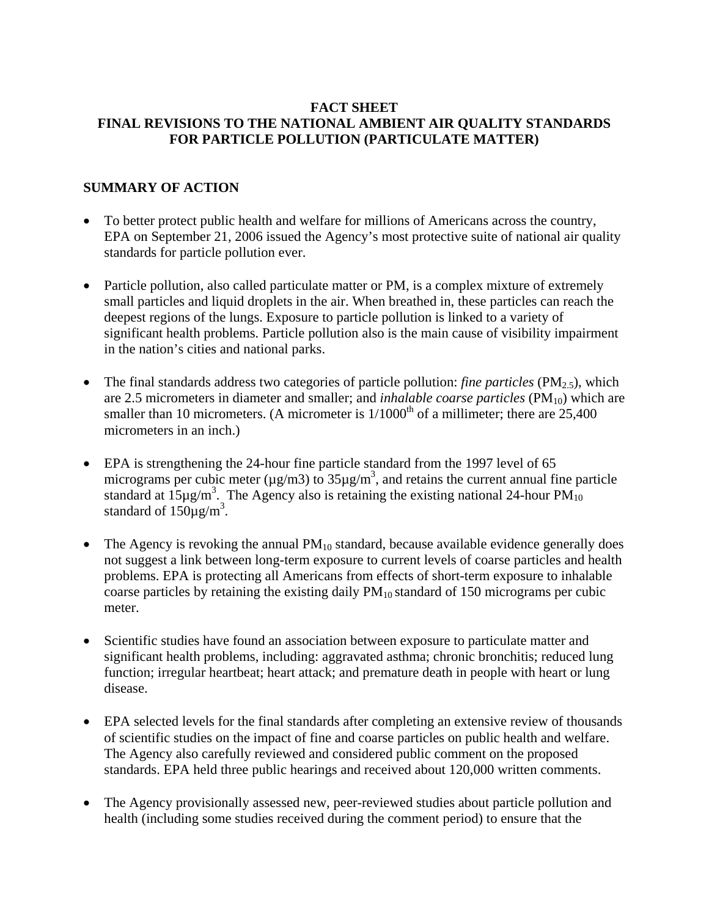#### **FACT SHEET FINAL REVISIONS TO THE NATIONAL AMBIENT AIR QUALITY STANDARDS FOR PARTICLE POLLUTION (PARTICULATE MATTER)**

# **SUMMARY OF ACTION**

- To better protect public health and welfare for millions of Americans across the country, EPA on September 21, 2006 issued the Agency's most protective suite of national air quality standards for particle pollution ever.
- Particle pollution, also called particulate matter or PM, is a complex mixture of extremely small particles and liquid droplets in the air. When breathed in, these particles can reach the deepest regions of the lungs. Exposure to particle pollution is linked to a variety of significant health problems. Particle pollution also is the main cause of visibility impairment in the nation's cities and national parks.
- The final standards address two categories of particle pollution: *fine particles* (PM<sub>2.5</sub>), which are 2.5 micrometers in diameter and smaller; and *inhalable coarse particles* (PM<sub>10</sub>) which are smaller than 10 micrometers. (A micrometer is  $1/1000<sup>th</sup>$  of a millimeter; there are 25,400 micrometers in an inch.)
- EPA is strengthening the 24-hour fine particle standard from the 1997 level of 65 micrograms per cubic meter ( $\mu$ g/m3) to 35 $\mu$ g/m<sup>3</sup>, and retains the current annual fine particle standard at  $15\mu\text{g/m}^3$ . The Agency also is retaining the existing national 24-hour PM<sub>10</sub> standard of  $150\mu g/m^3$ .
- The Agency is revoking the annual  $PM_{10}$  standard, because available evidence generally does not suggest a link between long-term exposure to current levels of coarse particles and health problems. EPA is protecting all Americans from effects of short-term exposure to inhalable coarse particles by retaining the existing daily  $PM_{10}$  standard of 150 micrograms per cubic meter.
- Scientific studies have found an association between exposure to particulate matter and significant health problems, including: aggravated asthma; chronic bronchitis; reduced lung function; irregular heartbeat; heart attack; and premature death in people with heart or lung disease.
- EPA selected levels for the final standards after completing an extensive review of thousands of scientific studies on the impact of fine and coarse particles on public health and welfare. The Agency also carefully reviewed and considered public comment on the proposed standards. EPA held three public hearings and received about 120,000 written comments.
- The Agency provisionally assessed new, peer-reviewed studies about particle pollution and health (including some studies received during the comment period) to ensure that the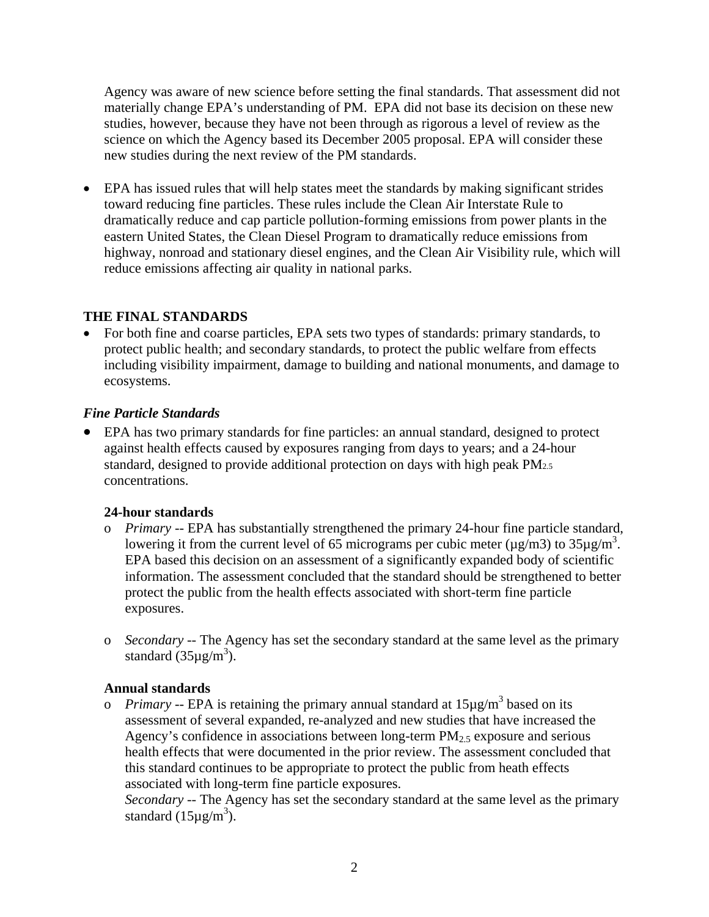Agency was aware of new science before setting the final standards. That assessment did not materially change EPA's understanding of PM. EPA did not base its decision on these new studies, however, because they have not been through as rigorous a level of review as the science on which the Agency based its December 2005 proposal. EPA will consider these new studies during the next review of the PM standards.

• EPA has issued rules that will help states meet the standards by making significant strides toward reducing fine particles. These rules include the Clean Air Interstate Rule to dramatically reduce and cap particle pollution-forming emissions from power plants in the eastern United States, the Clean Diesel Program to dramatically reduce emissions from highway, nonroad and stationary diesel engines, and the Clean Air Visibility rule, which will reduce emissions affecting air quality in national parks.

# **THE FINAL STANDARDS**

• For both fine and coarse particles, EPA sets two types of standards: primary standards, to protect public health; and secondary standards, to protect the public welfare from effects including visibility impairment, damage to building and national monuments, and damage to ecosystems.

#### *Fine Particle Standards*

• EPA has two primary standards for fine particles: an annual standard, designed to protect against health effects caused by exposures ranging from days to years; and a 24-hour standard, designed to provide additional protection on days with high peak PM2.5 concentrations.

# **24-hour standards**

- o *Primary* -- EPA has substantially strengthened the primary 24-hour fine particle standard, lowering it from the current level of 65 micrograms per cubic meter ( $\mu$ g/m3) to 35 $\mu$ g/m<sup>3</sup>. EPA based this decision on an assessment of a significantly expanded body of scientific information. The assessment concluded that the standard should be strengthened to better protect the public from the health effects associated with short-term fine particle exposures.
- o *Secondary --* The Agency has set the secondary standard at the same level as the primary standard  $(35\mu g/m^3)$ .

# **Annual standards**

o *Primary* -- EPA is retaining the primary annual standard at 15µg/m<sup>3</sup> based on its assessment of several expanded, re-analyzed and new studies that have increased the Agency's confidence in associations between long-term  $PM<sub>2.5</sub>$  exposure and serious health effects that were documented in the prior review. The assessment concluded that this standard continues to be appropriate to protect the public from heath effects associated with long-term fine particle exposures.

*Secondary --* The Agency has set the secondary standard at the same level as the primary standard  $(15 \mu g/m^3)$ .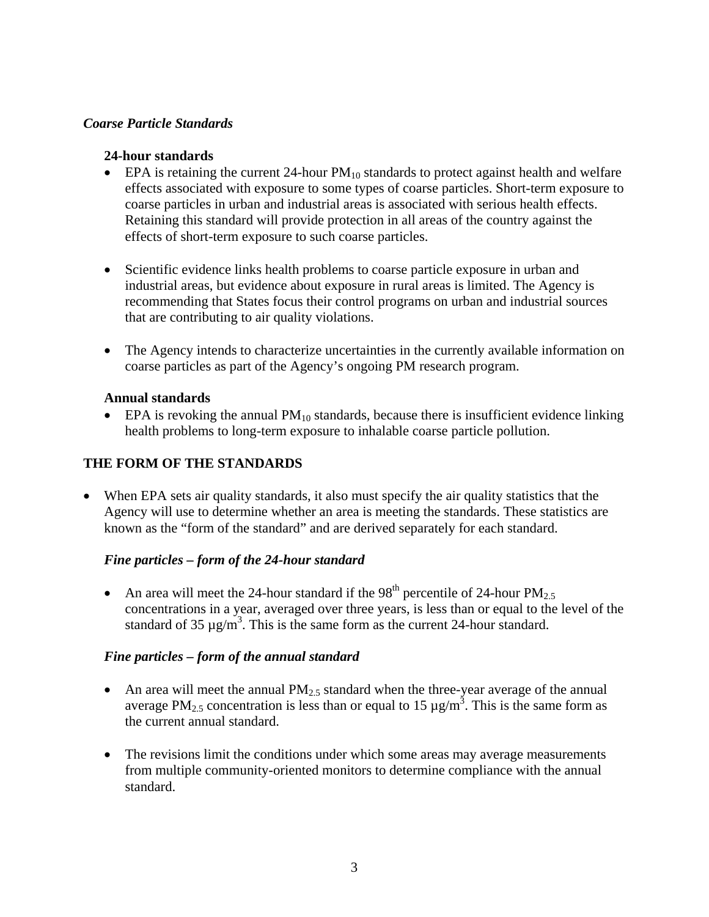#### *Coarse Particle Standards*

#### **24-hour standards**

- EPA is retaining the current 24-hour  $PM_{10}$  standards to protect against health and welfare effects associated with exposure to some types of coarse particles. Short-term exposure to coarse particles in urban and industrial areas is associated with serious health effects. Retaining this standard will provide protection in all areas of the country against the effects of short-term exposure to such coarse particles.
- Scientific evidence links health problems to coarse particle exposure in urban and industrial areas, but evidence about exposure in rural areas is limited. The Agency is recommending that States focus their control programs on urban and industrial sources that are contributing to air quality violations.
- The Agency intends to characterize uncertainties in the currently available information on coarse particles as part of the Agency's ongoing PM research program.

#### **Annual standards**

• EPA is revoking the annual  $PM_{10}$  standards, because there is insufficient evidence linking health problems to long-term exposure to inhalable coarse particle pollution.

# **THE FORM OF THE STANDARDS**

• When EPA sets air quality standards, it also must specify the air quality statistics that the Agency will use to determine whether an area is meeting the standards. These statistics are known as the "form of the standard" and are derived separately for each standard.

# *Fine particles – form of the 24-hour standard*

• An area will meet the 24-hour standard if the 98<sup>th</sup> percentile of 24-hour  $PM_{2.5}$ concentrations in a year, averaged over three years, is less than or equal to the level of the standard of 35  $\mu$ g/m<sup>3</sup>. This is the same form as the current 24-hour standard.

# *Fine particles – form of the annual standard*

- An area will meet the annual  $PM<sub>2.5</sub>$  standard when the three-year average of the annual average PM<sub>2.5</sub> concentration is less than or equal to 15  $\mu$ g/m<sup>3</sup>. This is the same form as the current annual standard.
- The revisions limit the conditions under which some areas may average measurements from multiple community-oriented monitors to determine compliance with the annual standard.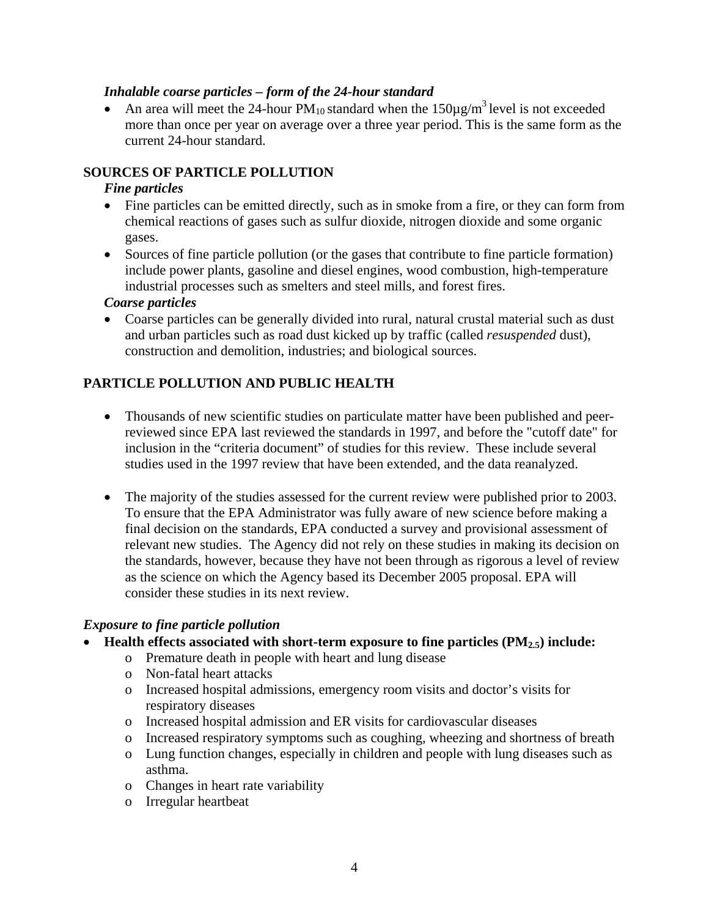#### *Inhalable coarse particles – form of the 24-hour standard*

• An area will meet the 24-hour  $PM_{10}$  standard when the 150 $\mu$ g/m<sup>3</sup> level is not exceeded more than once per year on average over a three year period. This is the same form as the current 24-hour standard.

# **SOURCES OF PARTICLE POLLUTION**

#### *Fine particles*

- Fine particles can be emitted directly, such as in smoke from a fire, or they can form from chemical reactions of gases such as sulfur dioxide, nitrogen dioxide and some organic gases.
- Sources of fine particle pollution (or the gases that contribute to fine particle formation) include power plants, gasoline and diesel engines, wood combustion, high-temperature industrial processes such as smelters and steel mills, and forest fires.

#### *Coarse particles*

• Coarse particles can be generally divided into rural, natural crustal material such as dust and urban particles such as road dust kicked up by traffic (called *resuspended* dust), construction and demolition, industries; and biological sources.

# **PARTICLE POLLUTION AND PUBLIC HEALTH**

- Thousands of new scientific studies on particulate matter have been published and peerreviewed since EPA last reviewed the standards in 1997, and before the "cutoff date" for inclusion in the "criteria document" of studies for this review. These include several studies used in the 1997 review that have been extended, and the data reanalyzed.
- The majority of the studies assessed for the current review were published prior to 2003. To ensure that the EPA Administrator was fully aware of new science before making a final decision on the standards, EPA conducted a survey and provisional assessment of relevant new studies. The Agency did not rely on these studies in making its decision on the standards, however, because they have not been through as rigorous a level of review as the science on which the Agency based its December 2005 proposal. EPA will consider these studies in its next review.

#### *Exposure to fine particle pollution*

#### • Health effects associated with short-term exposure to fine particles (PM<sub>2.5</sub>) include:

- o Premature death in people with heart and lung disease
- o Non-fatal heart attacks
- o Increased hospital admissions, emergency room visits and doctor's visits for respiratory diseases
- o Increased hospital admission and ER visits for cardiovascular diseases
- o Increased respiratory symptoms such as coughing, wheezing and shortness of breath
- o Lung function changes, especially in children and people with lung diseases such as asthma.
- o Changes in heart rate variability
- o Irregular heartbeat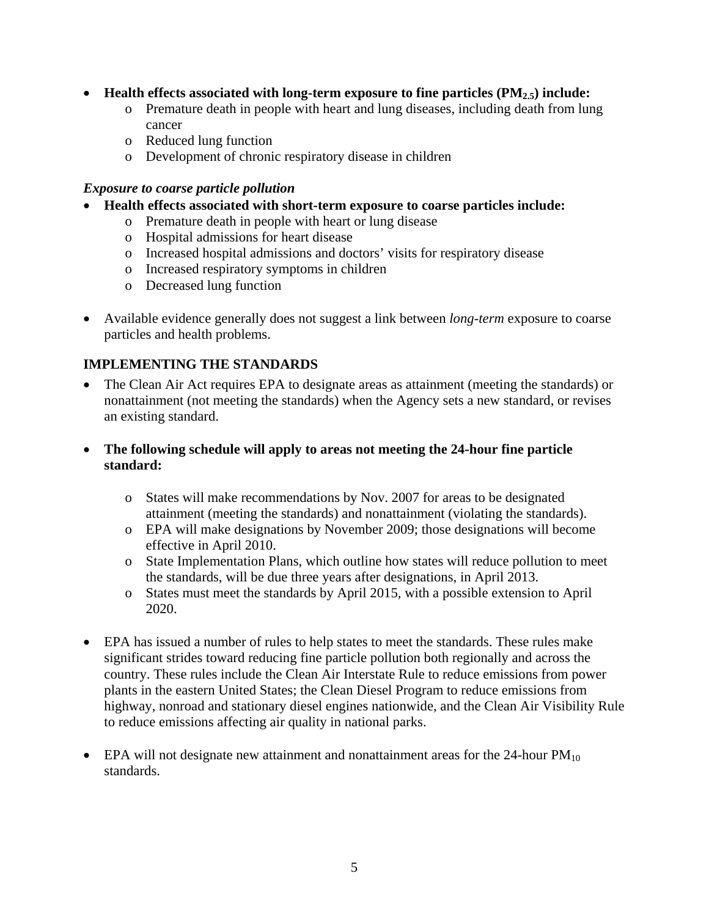- **Health effects associated with long-term exposure to fine particles (PM<sub>2.5</sub>) include:** 
	- o Premature death in people with heart and lung diseases, including death from lung cancer
	- o Reduced lung function
	- o Development of chronic respiratory disease in children

#### *Exposure to coarse particle pollution*

- **Health effects associated with short-term exposure to coarse particles include:** 
	- o Premature death in people with heart or lung disease
	- o Hospital admissions for heart disease
	- o Increased hospital admissions and doctors' visits for respiratory disease
	- o Increased respiratory symptoms in children
	- o Decreased lung function
- Available evidence generally does not suggest a link between *long-term* exposure to coarse particles and health problems.

# **IMPLEMENTING THE STANDARDS**

- The Clean Air Act requires EPA to designate areas as attainment (meeting the standards) or nonattainment (not meeting the standards) when the Agency sets a new standard, or revises an existing standard.
- **The following schedule will apply to areas not meeting the 24-hour fine particle standard:** 
	- o States will make recommendations by Nov. 2007 for areas to be designated attainment (meeting the standards) and nonattainment (violating the standards).
	- o EPA will make designations by November 2009; those designations will become effective in April 2010.
	- o State Implementation Plans, which outline how states will reduce pollution to meet the standards, will be due three years after designations, in April 2013.
	- o States must meet the standards by April 2015, with a possible extension to April 2020.
- EPA has issued a number of rules to help states to meet the standards. These rules make significant strides toward reducing fine particle pollution both regionally and across the country. These rules include the Clean Air Interstate Rule to reduce emissions from power plants in the eastern United States; the Clean Diesel Program to reduce emissions from highway, nonroad and stationary diesel engines nationwide, and the Clean Air Visibility Rule to reduce emissions affecting air quality in national parks.
- EPA will not designate new attainment and nonattainment areas for the  $24$ -hour  $PM_{10}$ standards.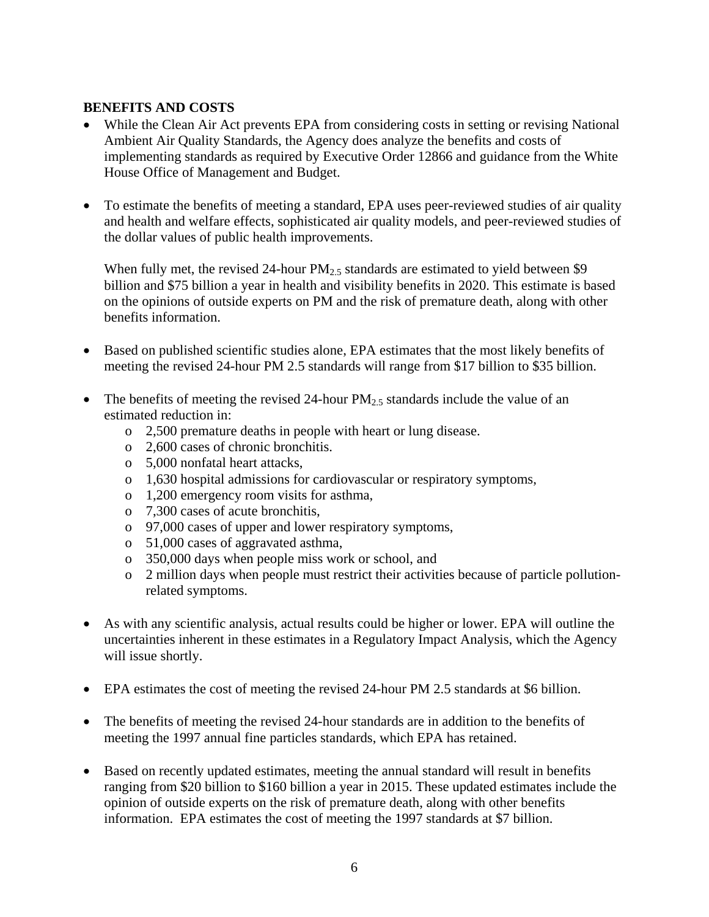#### **BENEFITS AND COSTS**

- While the Clean Air Act prevents EPA from considering costs in setting or revising National Ambient Air Quality Standards, the Agency does analyze the benefits and costs of implementing standards as required by Executive Order 12866 and guidance from the White House Office of Management and Budget.
- To estimate the benefits of meeting a standard, EPA uses peer-reviewed studies of air quality and health and welfare effects, sophisticated air quality models, and peer-reviewed studies of the dollar values of public health improvements.

When fully met, the revised 24-hour  $PM_2$  standards are estimated to yield between \$9 billion and \$75 billion a year in health and visibility benefits in 2020. This estimate is based on the opinions of outside experts on PM and the risk of premature death, along with other benefits information.

- Based on published scientific studies alone, EPA estimates that the most likely benefits of meeting the revised 24-hour PM 2.5 standards will range from \$17 billion to \$35 billion.
- The benefits of meeting the revised 24-hour  $PM_{2.5}$  standards include the value of an estimated reduction in:
	- o 2,500 premature deaths in people with heart or lung disease.
	- o 2,600 cases of chronic bronchitis.
	- o 5,000 nonfatal heart attacks,
	- o 1,630 hospital admissions for cardiovascular or respiratory symptoms,
	- o 1,200 emergency room visits for asthma,
	- o 7,300 cases of acute bronchitis,
	- o 97,000 cases of upper and lower respiratory symptoms,
	- o 51,000 cases of aggravated asthma,
	- o 350,000 days when people miss work or school, and
	- o 2 million days when people must restrict their activities because of particle pollutionrelated symptoms.
- As with any scientific analysis, actual results could be higher or lower. EPA will outline the uncertainties inherent in these estimates in a Regulatory Impact Analysis, which the Agency will issue shortly.
- EPA estimates the cost of meeting the revised 24-hour PM 2.5 standards at \$6 billion.
- The benefits of meeting the revised 24-hour standards are in addition to the benefits of meeting the 1997 annual fine particles standards, which EPA has retained.
- Based on recently updated estimates, meeting the annual standard will result in benefits ranging from \$20 billion to \$160 billion a year in 2015. These updated estimates include the opinion of outside experts on the risk of premature death, along with other benefits information. EPA estimates the cost of meeting the 1997 standards at \$7 billion.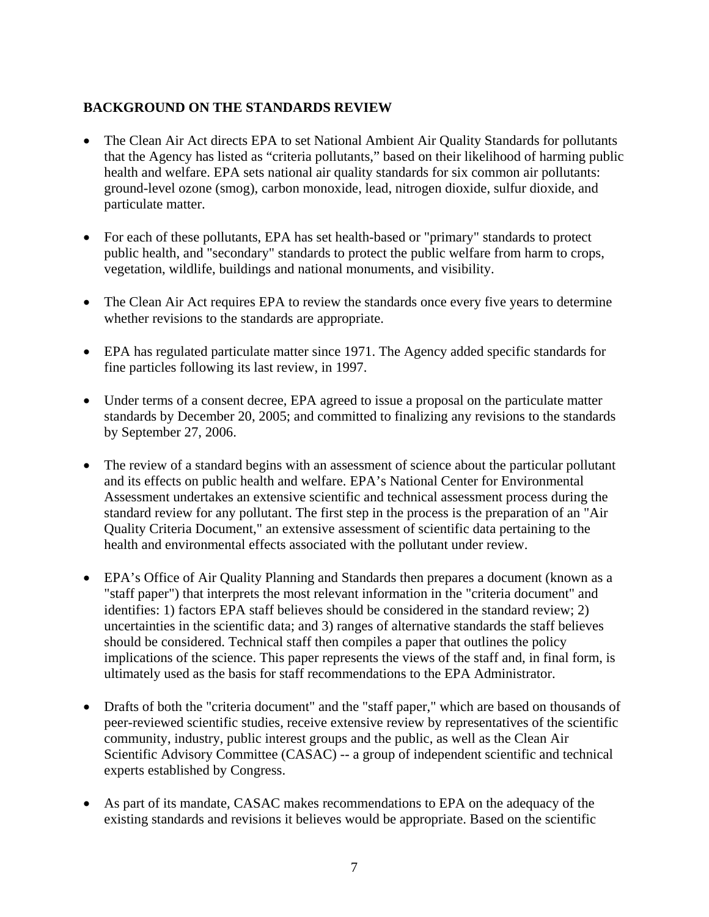# **BACKGROUND ON THE STANDARDS REVIEW**

- The Clean Air Act directs EPA to set National Ambient Air Quality Standards for pollutants that the Agency has listed as "criteria pollutants," based on their likelihood of harming public health and welfare. EPA sets national air quality standards for six common air pollutants: ground-level ozone (smog), carbon monoxide, lead, nitrogen dioxide, sulfur dioxide, and particulate matter.
- For each of these pollutants, EPA has set health-based or "primary" standards to protect public health, and "secondary" standards to protect the public welfare from harm to crops, vegetation, wildlife, buildings and national monuments, and visibility.
- The Clean Air Act requires EPA to review the standards once every five years to determine whether revisions to the standards are appropriate.
- EPA has regulated particulate matter since 1971. The Agency added specific standards for fine particles following its last review, in 1997.
- Under terms of a consent decree, EPA agreed to issue a proposal on the particulate matter standards by December 20, 2005; and committed to finalizing any revisions to the standards by September 27, 2006.
- The review of a standard begins with an assessment of science about the particular pollutant and its effects on public health and welfare. EPA's National Center for Environmental Assessment undertakes an extensive scientific and technical assessment process during the standard review for any pollutant. The first step in the process is the preparation of an "Air Quality Criteria Document," an extensive assessment of scientific data pertaining to the health and environmental effects associated with the pollutant under review.
- EPA's Office of Air Quality Planning and Standards then prepares a document (known as a "staff paper") that interprets the most relevant information in the "criteria document" and identifies: 1) factors EPA staff believes should be considered in the standard review; 2) uncertainties in the scientific data; and 3) ranges of alternative standards the staff believes should be considered. Technical staff then compiles a paper that outlines the policy implications of the science. This paper represents the views of the staff and, in final form, is ultimately used as the basis for staff recommendations to the EPA Administrator.
- Drafts of both the "criteria document" and the "staff paper," which are based on thousands of peer-reviewed scientific studies, receive extensive review by representatives of the scientific community, industry, public interest groups and the public, as well as the Clean Air Scientific Advisory Committee (CASAC) -- a group of independent scientific and technical experts established by Congress.
- As part of its mandate, CASAC makes recommendations to EPA on the adequacy of the existing standards and revisions it believes would be appropriate. Based on the scientific